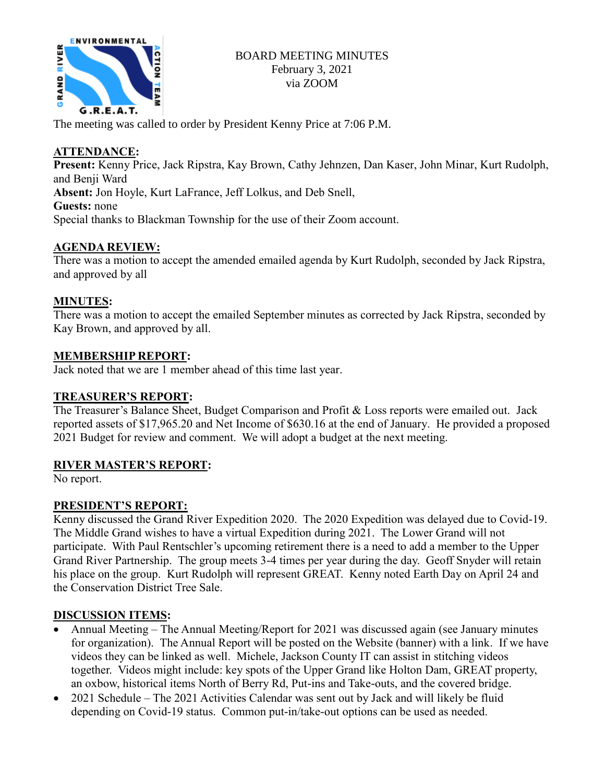

The meeting was called to order by President Kenny Price at 7:06 P.M.

# **ATTENDANCE:**

**Present:** Kenny Price, Jack Ripstra, Kay Brown, Cathy Jehnzen, Dan Kaser, John Minar, Kurt Rudolph, and Benji Ward **Absent:** Jon Hoyle, Kurt LaFrance, Jeff Lolkus, and Deb Snell, **Guests:** none Special thanks to Blackman Township for the use of their Zoom account.

# **AGENDA REVIEW:**

There was a motion to accept the amended emailed agenda by Kurt Rudolph, seconded by Jack Ripstra, and approved by all

# **MINUTES:**

There was a motion to accept the emailed September minutes as corrected by Jack Ripstra, seconded by Kay Brown, and approved by all.

## **MEMBERSHIP REPORT:**

Jack noted that we are 1 member ahead of this time last year.

## **TREASURER'S REPORT:**

The Treasurer's Balance Sheet, Budget Comparison and Profit & Loss reports were emailed out. Jack reported assets of \$17,965.20 and Net Income of \$630.16 at the end of January. He provided a proposed 2021 Budget for review and comment. We will adopt a budget at the next meeting.

## **RIVER MASTER'S REPORT:**

No report.

# **PRESIDENT'S REPORT:**

Kenny discussed the Grand River Expedition 2020. The 2020 Expedition was delayed due to Covid-19. The Middle Grand wishes to have a virtual Expedition during 2021. The Lower Grand will not participate. With Paul Rentschler's upcoming retirement there is a need to add a member to the Upper Grand River Partnership. The group meets 3-4 times per year during the day. Geoff Snyder will retain his place on the group. Kurt Rudolph will represent GREAT. Kenny noted Earth Day on April 24 and the Conservation District Tree Sale.

## **DISCUSSION ITEMS:**

- Annual Meeting The Annual Meeting/Report for 2021 was discussed again (see January minutes for organization). The Annual Report will be posted on the Website (banner) with a link. If we have videos they can be linked as well. Michele, Jackson County IT can assist in stitching videos together. Videos might include: key spots of the Upper Grand like Holton Dam, GREAT property, an oxbow, historical items North of Berry Rd, Put-ins and Take-outs, and the covered bridge.
- 2021 Schedule The 2021 Activities Calendar was sent out by Jack and will likely be fluid depending on Covid-19 status. Common put-in/take-out options can be used as needed.